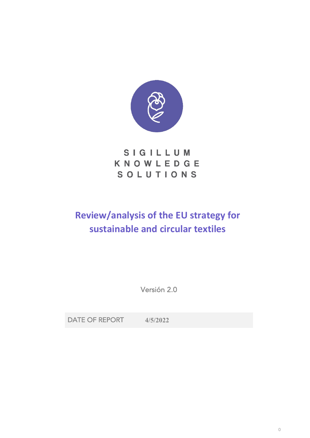

# SIGILLUM KNOWLEDGE SOLUTIONS

# **Review/analysis of the EU strategy for sustainable and circular textiles**

Versión 2.0

DATE OF REPORT **4/5/2022**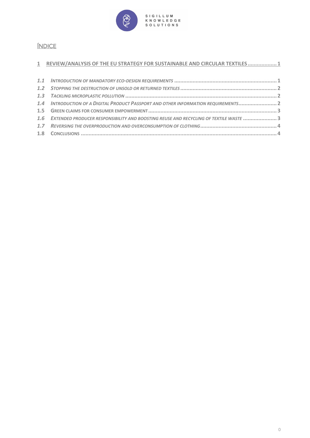

## ÍNDICE

#### **1 REVIEW/ANALYSIS OF THE EU STRATEGY FOR SUSTAINABLE AND CIRCULAR TEXTILES................... 1**

| 1.4 INTRODUCTION OF A DIGITAL PRODUCT PASSPORT AND OTHER INFORMATION REQUIREMENTS 2      |  |
|------------------------------------------------------------------------------------------|--|
|                                                                                          |  |
| 1.6 EXTENDED PRODUCER RESPONSIBILITY AND BOOSTING REUSE AND RECYCLING OF TEXTILE WASTE 3 |  |
|                                                                                          |  |
|                                                                                          |  |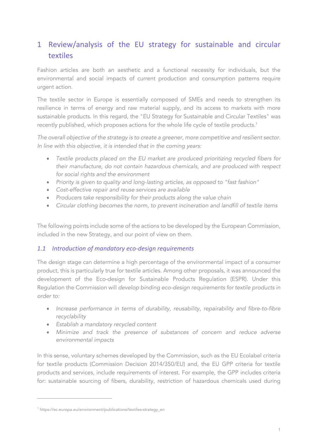## 1 Review/analysis of the EU strategy for sustainable and circular textiles

Fashion articles are both an aesthetic and a functional necessity for individuals, but the environmental and social impacts of current production and consumption patterns require urgent action.

The textile sector in Europe is essentially composed of SMEs and needs to strengthen its resilience in terms of energy and raw material supply, and its access to markets with more sustainable products. In this regard, the "EU Strategy for Sustainable and Circular Textiles" was recently published, which proposes actions for the whole life cycle of textile products. $^1$ 

*The overall objective of the strategy is to create a greener, more competitive and resilient sector. In line with this objective, it is intended that in the coming years:*

- *Textile products placed on the EU market are produced prioritizing recycled fibers for their manufacture, do not contain hazardous chemicals, and are produced with respect for social rights and the environment*
- *Priority is given to quality and long-lasting articles, as opposed to "fast fashion"*
- *Cost-effective repair and reuse services are available*
- *Producers take responsibility for their products along the value chain*
- *Circular clothing becomes the norm, to prevent incineration and landfill of textile items*

The following points include some of the actions to be developed by the European Commission, included in the new Strategy, and our point of view on them.

#### *1.1 Introduction of mandatory eco-design requirements*

The design stage can determine a high percentage of the environmental impact of a consumer product, this is particularly true for textile articles. Among other proposals, it was announced the development of the Eco-design for Sustainable Products Regulation (ESPR). Under this Regulation the Commission will *develop binding eco-design requirements for textile products in order to:*

- *Increase performance in terms of durability, reusability, repairability and fibre-to-fibre recyclability*
- *Establish a mandatory recycled content*
- *Minimize and track the presence of substances of concern and reduce adverse environmental impacts*

In this sense, voluntary schemes developed by the Commission, such as the EU Ecolabel criteria for textile products (Commission Decision 2014/350/EU) and, the EU GPP criteria for textile products and services, include requirements of interest. For example, the GPP includes criteria for: sustainable sourcing of fibers, durability, restriction of hazardous chemicals used during

<sup>1</sup> https://ec.europa.eu/environment/publications/textiles-strategy\_en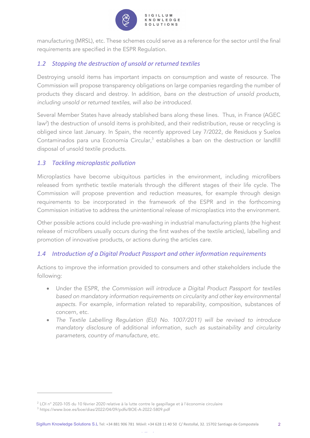

manufacturing (MRSL), etc. These schemes could serve as a reference for the sector until the final requirements are specified in the ESPR Regulation.

### *1.2 Stopping the destruction of unsold or returned textiles*

Destroying unsold items has important impacts on consumption and waste of resource. The Commission will propose transparency obligations on large companies regarding the number of products they discard and destroy. In addition, *bans on the destruction of unsold products, including unsold or returned textiles, will also be introduced.*

Several Member States have already stablished bans along these lines. Thus, in France (AGEC law<sup>2</sup>) the destruction of unsold items is prohibited, and their redistribution, reuse or recycling is obliged since last January. In Spain, the recently approved Ley 7/2022, de Residuos y Suelos Contaminados para una Economía Circular, <sup>3</sup> establishes a ban on the destruction or landfill disposal of unsold textile products.

### *1.3 Tackling microplastic pollution*

Microplastics have become ubiquitous particles in the environment, including microfibers released from synthetic textile materials through the different stages of their life cycle. The Commission will propose prevention and reduction measures, for example through design requirements to be incorporated in the framework of the ESPR and in the forthcoming Commission initiative to address the unintentional release of microplastics into the environment.

Other possible actions could include pre-washing in industrial manufacturing plants (the highest release of microfibers usually occurs during the first washes of the textile articles), labelling and promotion of innovative products, or actions during the articles care.

#### *1.4 Introduction of a Digital Product Passport and other information requirements*

Actions to improve the information provided to consumers and other stakeholders include the following:

- Under the ESPR, *the Commission will introduce a Digital Product Passport for textiles based on mandatory information requirements on circularity and other key environmental aspects.* For example, information related to reparability, composition, substances of concern, etc.
- *The Textile Labelling Regulation (EU) No. 1007/2011) will be revised to introduce mandatory disclosure* of additional information, *such as sustainability and circularity parameters, country of manufacture*, etc.

www.sigillumks.com

<sup>2</sup> LOI n° 2020-105 du 10 février 2020 relative à la lutte contre le gaspillage et à l'économie circulaire

<sup>3</sup> https://www.boe.es/boe/dias/2022/04/09/pdfs/BOE-A-2022-5809.pdf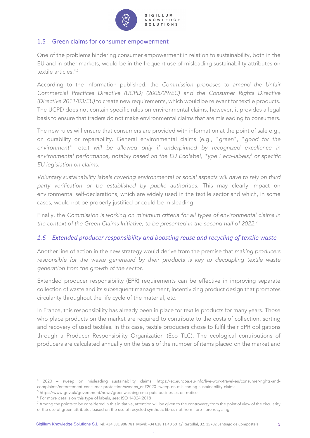

#### KNOWLEDGE **SOLUTIONS**

#### 1.5 Green claims for consumer empowerment

One of the problems hindering consumer empowerment in relation to sustainability, both in the EU and in other markets, would be in the frequent use of misleading sustainability attributes on textile articles. 4,5

According to the information published, the *Commission proposes to amend the Unfair Commercial Practices Directive (UCPD) (2005/29/EC) and the Consumer Rights Directive (Directive 2011/83/EU)* to create new requirements, which would be relevant for textile products. The UCPD does not contain specific rules on environmental claims, however, it provides a legal basis to ensure that traders do not make environmental claims that are misleading to consumers.

The new rules will ensure that consumers are provided with information at the point of sale e.g., on durability or reparability. General environmental claims (e.g., "*green*", "*good for the environment*", etc.) *will be allowed only if underpinned by recognized excellence in environmental performance, notably based on the EU Ecolabel, Type I eco-labels,<sup>6</sup> or specific EU legislation on claims.*

*Voluntary sustainability labels covering environmental or social aspects will have to rely on third party verification or be established by public authorities.* This may clearly impact on environmental self-declarations, which are widely used in the textile sector and which, in some cases, would not be properly justified or could be misleading.

Finally, the *Commission is working on minimum criteria for all types of environmental claims in the context of the Green Claims Initiative, to be presented in the second half of 2022*. 7

#### *1.6 Extended producer responsibility and boosting reuse and recycling of textile waste*

Another line of action in the new strategy would derive from the premise that *making producers*  responsible for the waste generated by their products is key to decoupling textile waste *generation from the growth of the sector*.

Extended producer responsibility (EPR) requirements can be effective in improving separate collection of waste and its subsequent management, incentivizing product design that promotes circularity throughout the life cycle of the material, etc.

In France, this responsibility has already been in place for textile products for many years. Those who place products on the market are required to contribute to the costs of collection, sorting and recovery of used textiles. In this case, textile producers chose to fulfil their EPR obligations through a Producer Responsibility Organization (Eco TLC). The ecological contributions of producers are calculated annually on the basis of the number of items placed on the market and

<sup>4</sup> 2020 – sweep on misleading sustainability claims. https://ec.europa.eu/info/live-work-travel-eu/consumer-rights-andcomplaints/enforcement-consumer-protection/sweeps\_en#2020-sweep-on-misleading-sustainability-claims

<sup>5</sup> https://www.gov.uk/government/news/greenwashing-cma-puts-businesses-on-notice

<sup>6</sup> For more details on this type of labels, see: ISO 14024:2018

 $^7$  Among the points to be considered in this initiative, attention will be given to the controversy from the point of view of the circularity of the use of green attributes based on the use of recycled synthetic fibres not from fibre-fibre recycling.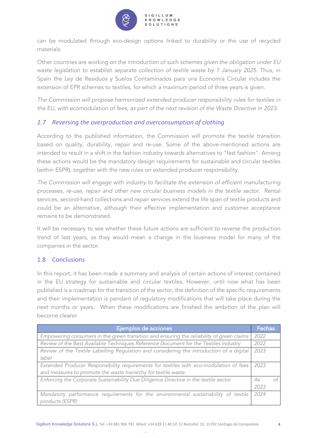

can be modulated through eco-design options linked to durability or the use of recycled materials.

Other countries are working on the introduction of such schemes *given the obligation under EU waste legislation to establish separate collection of textile waste by 1 January 2025*. Thus, in Spain the Ley de Residuos y Suelos Contaminados para una Economía Circular includes the extension of EPR schemes to textiles, for which a maximum period of three years is given.

*The Commission will propose harmonized extended producer responsibility rules for textiles in the EU, with ecomodulation of fees, as part of the next revision of the Waste Directive in 2023.*

#### *1.7 Reversing the overproduction and overconsumption of clothing*

According to the published information, the Commission will promote the textile transition based on quality, durability, repair and re-use. Some of the above-mentioned actions are intended to result in a shift in the fashion industry towards alternatives to "fast fashion". Among these actions would be the mandatory design requirements for sustainable and circular textiles (within ESPR), together with the new rules on extended producer responsibility.

*The Commission will engage with industry to facilitate the extension of efficient manufacturing processes, re-use, repair and other new circular business models in the textile sector.* Rental services, second-hand collections and repair services extend the life span of textile products and could be an alternative, although their effective implementation and customer acceptance remains to be demonstrated.

It will be necessary to see whether these future actions are sufficient to reverse the production trend of last years, as they would mean a change in the business model for many of the companies in the sector.

#### 1.8 Conclusions

In this report, it has been made a summary and analysis of certain actions of interest contained in the EU strategy for sustainable and circular textiles. However, until now what has been published is a roadmap for the transition of the sector, the definition of the specific requirements and their implementation is pendant of regulatory modifications that will take place during the next months or years. When these modifications are finished the ambition of the plan will become clearer.

| Ejemplos de acciones                                                                      | Fechas |  |
|-------------------------------------------------------------------------------------------|--------|--|
| Empowering consumers in the green transition and ensuring the reliability of green claims | 2022   |  |
| Review of the Best Available Techniques Reference Document for the Textiles Industry      | 2022   |  |
| Review of the Textile Labelling Regulation and considering the introduction of a digital  | 2023   |  |
| label                                                                                     |        |  |
| Extended Producer Responsibility requirements for textiles with eco-modulation of fees    | 2023   |  |
| and measures to promote the waste hierarchy for textile waste                             |        |  |
| Enforcing the Corporate Sustainability Due Diligence Directive in the textile sector      | As     |  |
|                                                                                           | 2023   |  |
| Mandatory performance requirements for the environmental sustainability of textile        | 2024   |  |
| products (ESPR)                                                                           |        |  |